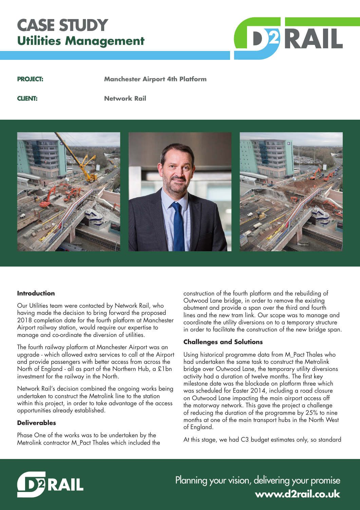# **CASE STUDY Utilities Management**



**PROJECT: Manchester Airport 4th Platform**

**CLIENT: Network Rail**



#### **Introduction**

Our Utilities team were contacted by Network Rail, who having made the decision to bring forward the proposed 2018 completion date for the fourth platform at Manchester Airport railway station, would require our expertise to manage and co-ordinate the diversion of utilities.

The fourth railway platform at Manchester Airport was an upgrade - which allowed extra services to call at the Airport and provide passengers with better access from across the North of England - all as part of the Northern Hub, a £1bn investment for the railway in the North.

Network Rail's decision combined the ongoing works being undertaken to construct the Metrolink line to the station within this project, in order to take advantage of the access opportunities already established.

## **Deliverables**

Phase One of the works was to be undertaken by the Metrolink contractor M\_Pact Thales which included the construction of the fourth platform and the rebuilding of Outwood Lane bridge, in order to remove the existing abutment and provide a span over the third and fourth lines and the new tram link. Our scope was to manage and coordinate the utility diversions on to a temporary structure in order to facilitate the construction of the new bridge span.

#### **Challenges and Solutions**

Using historical programme data from M\_Pact Thales who had undertaken the same task to construct the Metrolink bridge over Outwood Lane, the temporary utility diversions activity had a duration of twelve months. The first key milestone date was the blockade on platform three which was scheduled for Easter 2014, including a road closure on Outwood Lane impacting the main airport access off the motorway network. This gave the project a challenge of reducing the duration of the programme by 25% to nine months at one of the main transport hubs in the North West of England.

At this stage, we had C3 budget estimates only, so standard



Planning your vision, delivering your promise **www.d2rail.co.uk**